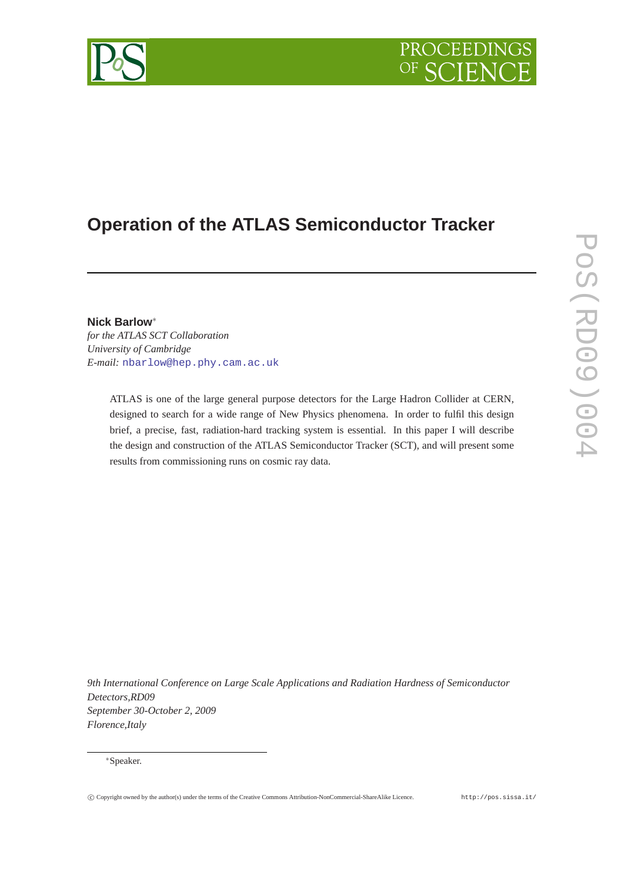# **PROCEEDING**



# **Operation of the ATLAS Semiconductor Tracker**

**Nick Barlow**<sup>∗</sup> *for the ATLAS SCT Collaboration University of Cambridge E-mail:* [nbarlow@hep.phy.cam.ac.uk](mailto:nbarlow@hep.phy.cam.ac.uk)

> ATLAS is one of the large general purpose detectors for the Large Hadron Collider at CERN, designed to search for a wide range of New Physics phenomena. In order to fulfil this design brief, a precise, fast, radiation-hard tracking system is essential. In this paper I will describe the design and construction of the ATLAS Semiconductor Tracker (SCT), and will present some results from commissioning runs on cosmic ray data.

*9th International Conference on Large Scale Applications and Radiation Hardness of Semiconductor Detectors,RD09 September 30-October 2, 2009 Florence,Italy*

<sup>∗</sup>Speaker.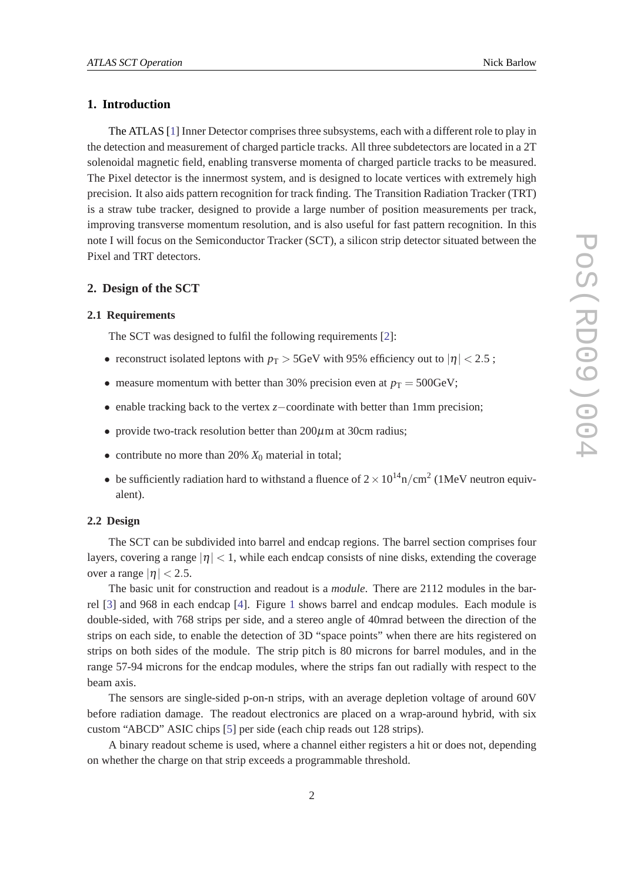## **1. Introduction**

The ATLAS [\[1\]](#page-7-0) Inner Detector comprises three subsystems, each with a different role to play in the detection and measurement of charged particle tracks. All three subdetectors are located in a 2T solenoidal magnetic field, enabling transverse momenta of charged particle tracks to be measured. The Pixel detector is the innermost system, and is designed to locate vertices with extremely high precision. It also aids pattern recognition for track finding. The Transition Radiation Tracker (TRT) is a straw tube tracker, designed to provide a large number of position measurements per track, improving transverse momentum resolution, and is also useful for fast pattern recognition. In this note I will focus on the Semiconductor Tracker (SCT), a silicon strip detector situated between the Pixel and TRT detectors.

#### **2. Design of the SCT**

#### **2.1 Requirements**

The SCT was designed to fulfil the following requirements [[2](#page-7-0)]:

- reconstruct isolated leptons with  $p_T > 5$ GeV with 95% efficiency out to  $|\eta| < 2.5$ ;
- measure momentum with better than 30% precision even at  $p_T = 500 \text{GeV}$ ;
- enable tracking back to the vertex *z*−coordinate with better than 1mm precision;
- provide two-track resolution better than 200 $\mu$ m at 30cm radius;
- contribute no more than 20%  $X_0$  material in total;
- be sufficiently radiation hard to withstand a fluence of  $2 \times 10^{14}$ n/cm<sup>2</sup> (1MeV neutron equivalent).

#### **2.2 Design**

The SCT can be subdivided into barrel and endcap regions. The barrel section comprises four layers, covering a range  $|\eta|$  < 1, while each endcap consists of nine disks, extending the coverage over a range  $|\eta|$  < 2.5.

The basic unit for construction and readout is a *module*. There are 2112 modules in the barrel [[3](#page-7-0)] and 968 in each endcap [[4](#page-7-0)]. Figure [1](#page-2-0) shows barrel and endcap modules. Each module is double-sided, with 768 strips per side, and a stereo angle of 40mrad between the direction of the strips on each side, to enable the detection of 3D "space points" when there are hits registered on strips on both sides of the module. The strip pitch is 80 microns for barrel modules, and in the range 57-94 microns for the endcap modules, where the strips fan out radially with respect to the beam axis.

The sensors are single-sided p-on-n strips, with an average depletion voltage of around 60V before radiation damage. The readout electronics are placed on a wrap-around hybrid, with six custom "ABCD" ASIC chips [\[5\]](#page-7-0) per side (each chip reads out 128 strips).

A binary readout scheme is used, where a channel either registers a hit or does not, depending on whether the charge on that strip exceeds a programmable threshold.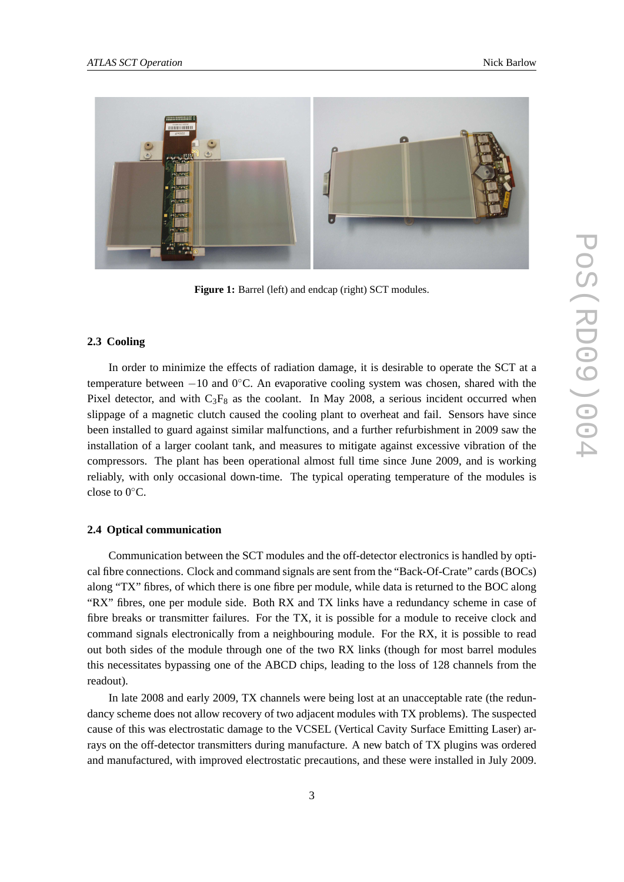<span id="page-2-0"></span>

**Figure 1:** Barrel (left) and endcap (right) SCT modules.

#### **2.3 Cooling**

In order to minimize the effects of radiation damage, it is desirable to operate the SCT at a temperature between −10 and 0◦C. An evaporative cooling system was chosen, shared with the Pixel detector, and with  $C_3F_8$  as the coolant. In May 2008, a serious incident occurred when slippage of a magnetic clutch caused the cooling plant to overheat and fail. Sensors have since been installed to guard against similar malfunctions, and a further refurbishment in 2009 saw the installation of a larger coolant tank, and measures to mitigate against excessive vibration of the compressors. The plant has been operational almost full time since June 2009, and is working reliably, with only occasional down-time. The typical operating temperature of the modules is close to  $0^{\circ}$ C.

#### **2.4 Optical communication**

Communication between the SCT modules and the off-detector electronics is handled by optical fibre connections. Clock and command signals are sent from the "Back-Of-Crate" cards (BOCs) along "TX" fibres, of which there is one fibre per module, while data is returned to the BOC along "RX" fibres, one per module side. Both RX and TX links have a redundancy scheme in case of fibre breaks or transmitter failures. For the TX, it is possible for a module to receive clock and command signals electronically from a neighbouring module. For the RX, it is possible to read out both sides of the module through one of the two RX links (though for most barrel modules this necessitates bypassing one of the ABCD chips, leading to the loss of 128 channels from the readout).

In late 2008 and early 2009, TX channels were being lost at an unacceptable rate (the redundancy scheme does not allow recovery of two adjacent modules with TX problems). The suspected cause of this was electrostatic damage to the VCSEL (Vertical Cavity Surface Emitting Laser) arrays on the off-detector transmitters during manufacture. A new batch of TX plugins was ordered and manufactured, with improved electrostatic precautions, and these were installed in July 2009.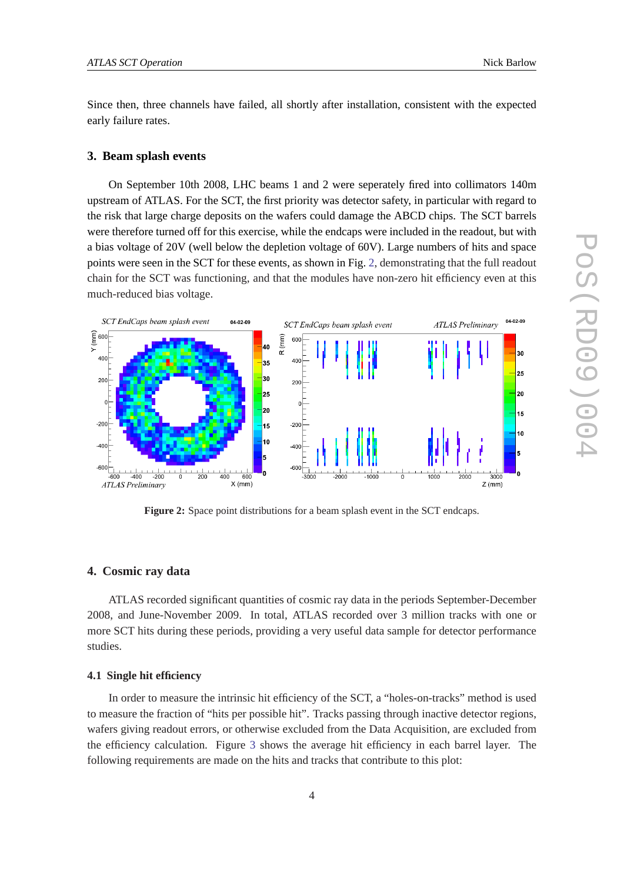Since then, three channels have failed, all shortly after installation, consistent with the expected early failure rates.

#### **3. Beam splash events**

On September 10th 2008, LHC beams 1 and 2 were seperately fired into collimators 140m upstream of ATLAS. For the SCT, the first priority was detector safety, in particular with regard to the risk that large charge deposits on the wafers could damage the ABCD chips. The SCT barrels were therefore turned off for this exercise, while the endcaps were included in the readout, but with a bias voltage of 20V (well below the depletion voltage of 60V). Large numbers of hits and space points were seen in the SCT for these events, as shown in Fig. 2, demonstrating that the full readout chain for the SCT was functioning, and that the modules have non-zero hit efficiency even at this much-reduced bias voltage.



**Figure 2:** Space point distributions for a beam splash event in the SCT endcaps.

#### **4. Cosmic ray data**

ATLAS recorded significant quantities of cosmic ray data in the periods September-December 2008, and June-November 2009. In total, ATLAS recorded over 3 million tracks with one or more SCT hits during these periods, providing a very useful data sample for detector performance studies.

#### **4.1 Single hit efficiency**

In order to measure the intrinsic hit efficiency of the SCT, a "holes-on-tracks" method is used to measure the fraction of "hits per possible hit". Tracks passing through inactive detector regions, wafers giving readout errors, or otherwise excluded from the Data Acquisition, are excluded from the efficiency calculation. Figure [3](#page-4-0) shows the average hit efficiency in each barrel layer. The following requirements are made on the hits and tracks that contribute to this plot: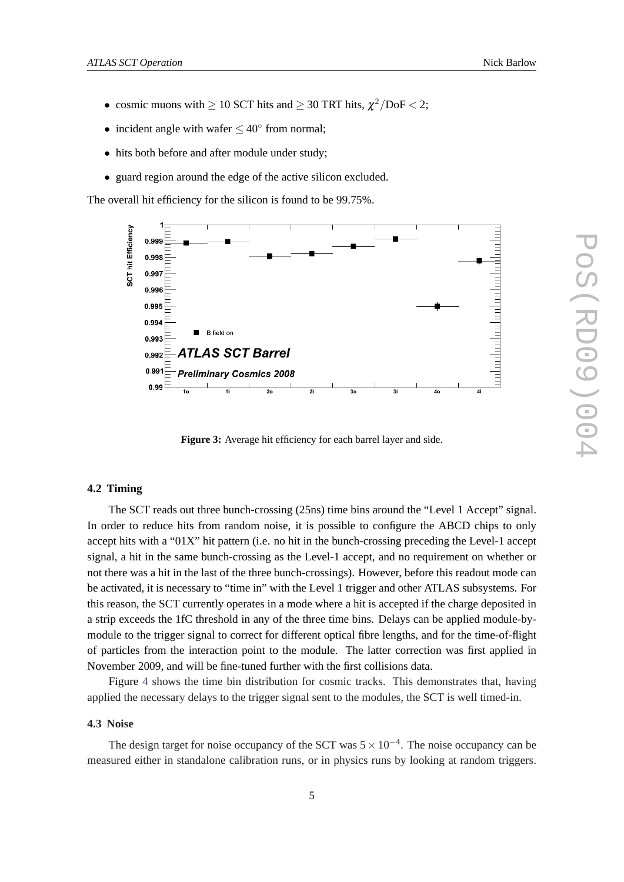- <span id="page-4-0"></span>• cosmic muons with  $\geq 10$  SCT hits and  $\geq 30$  TRT hits,  $\chi^2/\text{DoF} < 2$ ;
- incident angle with wafer  $\leq 40^{\circ}$  from normal;
- hits both before and after module under study;
- guard region around the edge of the active silicon excluded.

The overall hit efficiency for the silicon is found to be 99.75%.



**Figure 3:** Average hit efficiency for each barrel layer and side.

# **4.2 Timing**

The SCT reads out three bunch-crossing (25ns) time bins around the "Level 1 Accept" signal. In order to reduce hits from random noise, it is possible to configure the ABCD chips to only accept hits with a "01X" hit pattern (i.e. no hit in the bunch-crossing preceding the Level-1 accept signal, a hit in the same bunch-crossing as the Level-1 accept, and no requirement on whether or not there was a hit in the last of the three bunch-crossings). However, before this readout mode can be activated, it is necessary to "time in" with the Level 1 trigger and other ATLAS subsystems. For this reason, the SCT currently operates in a mode where a hit is accepted if the charge deposited in a strip exceeds the 1fC threshold in any of the three time bins. Delays can be applied module-bymodule to the trigger signal to correct for different optical fibre lengths, and for the time-of-flight of particles from the interaction point to the module. The latter correction was first applied in November 2009, and will be fine-tuned further with the first collisions data.

Figure [4](#page-5-0) shows the time bin distribution for cosmic tracks. This demonstrates that, having applied the necessary delays to the trigger signal sent to the modules, the SCT is well timed-in.

#### **4.3 Noise**

The design target for noise occupancy of the SCT was  $5 \times 10^{-4}$ . The noise occupancy can be measured either in standalone calibration runs, or in physics runs by looking at random triggers.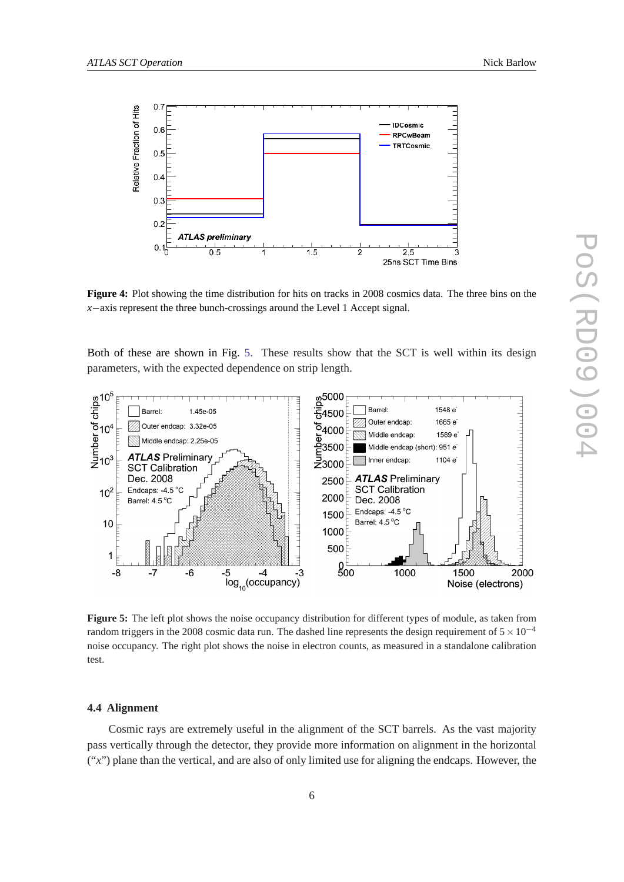<span id="page-5-0"></span>

**Figure 4:** Plot showing the time distribution for hits on tracks in 2008 cosmics data. The three bins on the *x*−axis represent the three bunch-crossings around the Level 1 Accept signal.

Both of these are shown in Fig. 5. These results show that the SCT is well within its design parameters, with the expected dependence on strip length.



**Figure 5:** The left plot shows the noise occupancy distribution for different types of module, as taken from random triggers in the 2008 cosmic data run. The dashed line represents the design requirement of  $5 \times 10^{-4}$ noise occupancy. The right plot shows the noise in electron counts, as measured in a standalone calibration test.

#### **4.4 Alignment**

Cosmic rays are extremely useful in the alignment of the SCT barrels. As the vast majority pass vertically through the detector, they provide more information on alignment in the horizontal ("*x*") plane than the vertical, and are also of only limited use for aligning the endcaps. However, the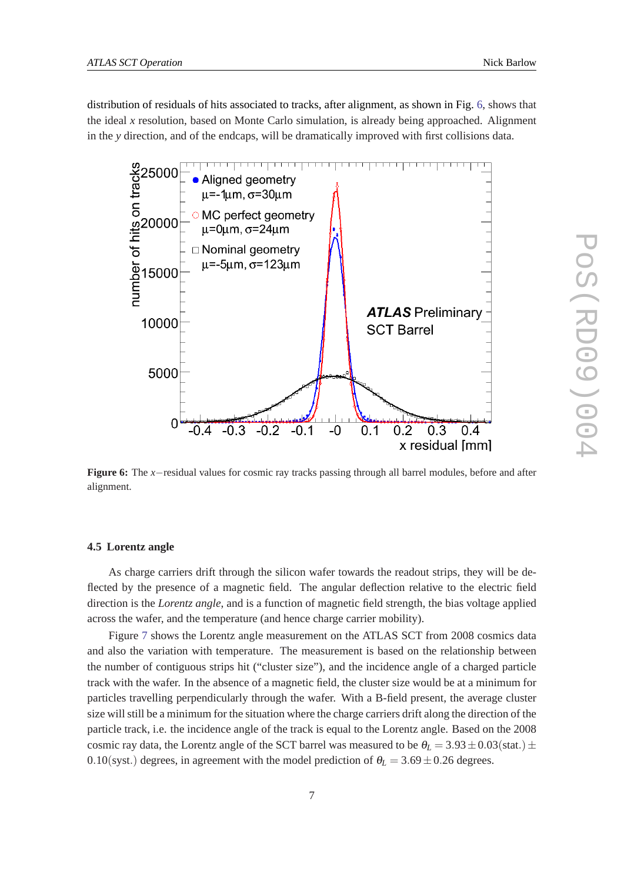distribution of residuals of hits associated to tracks, after alignment, as shown in Fig. 6, shows that the ideal *x* resolution, based on Monte Carlo simulation, is already being approached. Alignment in the *y* direction, and of the endcaps, will be dramatically improved with first collisions data.



**Figure 6:** The *x*−residual values for cosmic ray tracks passing through all barrel modules, before and after alignment.

#### **4.5 Lorentz angle**

As charge carriers drift through the silicon wafer towards the readout strips, they will be deflected by the presence of a magnetic field. The angular deflection relative to the electric field direction is the *Lorentz angle*, and is a function of magnetic field strength, the bias voltage applied across the wafer, and the temperature (and hence charge carrier mobility).

Figure [7](#page-7-0) shows the Lorentz angle measurement on the ATLAS SCT from 2008 cosmics data and also the variation with temperature. The measurement is based on the relationship between the number of contiguous strips hit ("cluster size"), and the incidence angle of a charged particle track with the wafer. In the absence of a magnetic field, the cluster size would be at a minimum for particles travelling perpendicularly through the wafer. With a B-field present, the average cluster size will still be a minimum for the situation where the charge carriers drift along the direction of the particle track, i.e. the incidence angle of the track is equal to the Lorentz angle. Based on the 2008 cosmic ray data, the Lorentz angle of the SCT barrel was measured to be  $\theta_L = 3.93 \pm 0.03$  (stat.)  $\pm$ 0.10(syst.) degrees, in agreement with the model prediction of  $\theta_L = 3.69 \pm 0.26$  degrees.